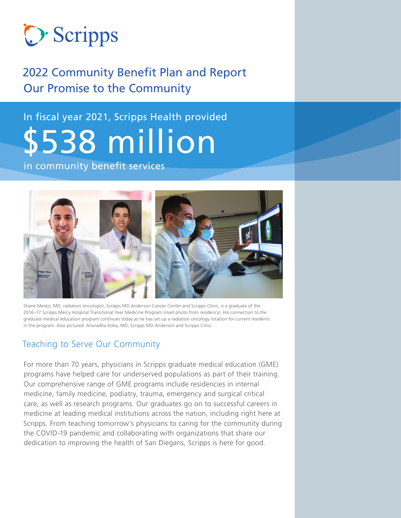

### 2022 Community Benefit Plan and Report Our Promise to the Community

# In fiscal year 2021, Scripps Health provided \$538 million in community benefit services



Shane Mesko, MD, radiation oncologist, Scripps MD Anderson Cancer Center and Scripps Clinic, is a graduate of the 2016–17 Scripps Mercy Hospital Transitional Year Medicine Program (inset photo from residency). His connection to the graduate medical education program continues today as he has set up a radiation oncology rotation for current residents in the program. Also pictured: Anuradha Koka, MD, Scripps MD Anderson and Scripps Clinic.

### Teaching to Serve Our Community

For more than 70 years, physicians in Scripps graduate medical education (GME) programs have helped care for underserved populations as part of their training. Our comprehensive range of GME programs include residencies in internal medicine, family medicine, podiatry, trauma, emergency and surgical critical care, as well as research programs. Our graduates go on to successful careers in medicine at leading medical institutions across the nation, including right here at Scripps. From teaching tomorrow's physicians to caring for the community during the COVID-19 pandemic and collaborating with organizations that share our dedication to improving the health of San Diegans, Scripps is here for good.